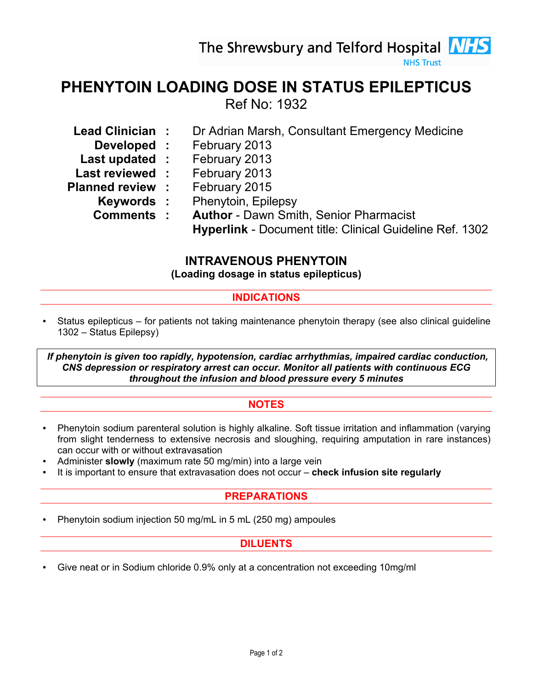The Shrewsbury and Telford Hospital **NHS** 

## PHENYTOIN LOADING DOSE IN STATUS EPILEPTICUS Ref No: 1932

- Lead Clinician : Dr Adrian Marsh, Consultant Emergency Medicine
	-
	- **Developed : February 2013**<br>**st updated : February 2013** Last updated :
- Last reviewed : February 2013
- Planned review : February 2015
	- Keywords : Phenytoin, Epilepsy
	- Comments : Author Dawn Smith, Senior Pharmacist
		- Hyperlink Document title: Clinical Guideline Ref. 1302

# INTRAVENOUS PHENYTOIN

(Loading dosage in status epilepticus)

#### INDICATIONS

• Status epilepticus – for patients not taking maintenance phenytoin therapy (see also clinical guideline 1302 – Status Epilepsy)

 If phenytoin is given too rapidly, hypotension, cardiac arrhythmias, impaired cardiac conduction, CNS depression or respiratory arrest can occur. Monitor all patients with continuous ECG throughout the infusion and blood pressure every 5 minutes

#### NOTES

- Phenytoin sodium parenteral solution is highly alkaline. Soft tissue irritation and inflammation (varying from slight tenderness to extensive necrosis and sloughing, requiring amputation in rare instances) can occur with or without extravasation
- Administer slowly (maximum rate 50 mg/min) into a large vein
- It is important to ensure that extravasation does not occur check infusion site regularly

## PREPARATIONS

• Phenytoin sodium injection 50 mg/mL in 5 mL (250 mg) ampoules

## DILUENTS

• Give neat or in Sodium chloride 0.9% only at a concentration not exceeding 10mg/ml